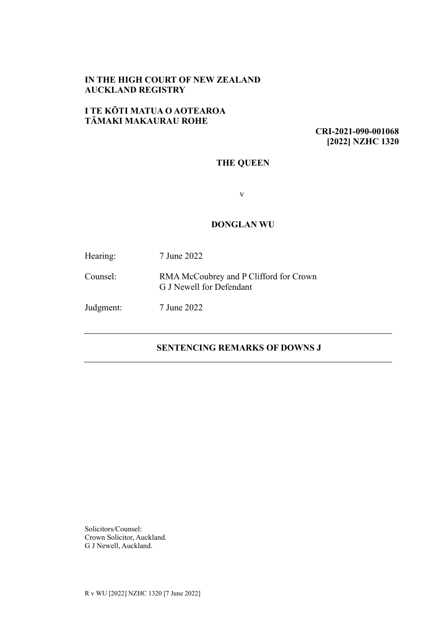### **IN THE HIGH COURT OF NEW ZEALAND AUCKLAND REGISTRY**

### **I TE KŌTI MATUA O AOTEAROA TĀMAKI MAKAURAU ROHE**

**CRI-2021-090-001068 [2022] NZHC 1320**

# **THE QUEEN**

v

#### **DONGLAN WU**

| Hearing:  | 7 June 2022                                                        |
|-----------|--------------------------------------------------------------------|
| Counsel:  | RMA McCoubrey and P Clifford for Crown<br>G J Newell for Defendant |
| Judgment: | 7 June 2022                                                        |

### **SENTENCING REMARKS OF DOWNS J**

Solicitors/Counsel: Crown Solicitor, Auckland. G J Newell, Auckland.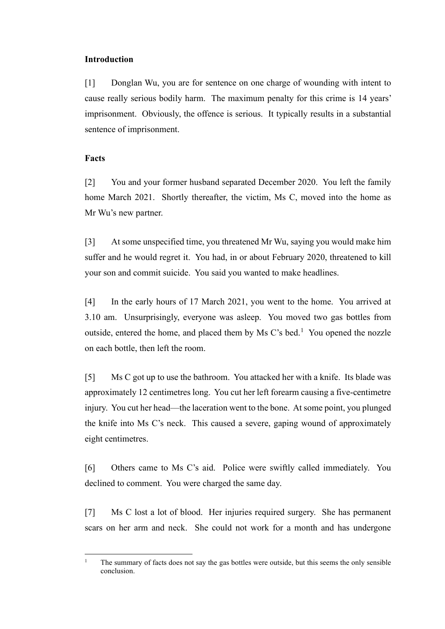#### **Introduction**

[1] Donglan Wu, you are for sentence on one charge of wounding with intent to cause really serious bodily harm. The maximum penalty for this crime is 14 years' imprisonment. Obviously, the offence is serious. It typically results in a substantial sentence of imprisonment.

#### **Facts**

[2] You and your former husband separated December 2020. You left the family home March 2021. Shortly thereafter, the victim, Ms C, moved into the home as Mr Wu's new partner.

[3] At some unspecified time, you threatened Mr Wu, saying you would make him suffer and he would regret it. You had, in or about February 2020, threatened to kill your son and commit suicide. You said you wanted to make headlines.

[4] In the early hours of 17 March 2021, you went to the home. You arrived at 3.10 am. Unsurprisingly, everyone was asleep. You moved two gas bottles from outside, entered the home, and placed them by Ms C's bed.<sup>[1](#page-1-0)</sup> You opened the nozzle on each bottle, then left the room.

[5] Ms C got up to use the bathroom. You attacked her with a knife. Its blade was approximately 12 centimetres long. You cut her left forearm causing a five-centimetre injury. You cut her head—the laceration went to the bone. At some point, you plunged the knife into Ms C's neck. This caused a severe, gaping wound of approximately eight centimetres.

[6] Others came to Ms C's aid. Police were swiftly called immediately. You declined to comment. You were charged the same day.

[7] Ms C lost a lot of blood. Her injuries required surgery. She has permanent scars on her arm and neck. She could not work for a month and has undergone

<span id="page-1-0"></span><sup>&</sup>lt;sup>1</sup> The summary of facts does not say the gas bottles were outside, but this seems the only sensible conclusion.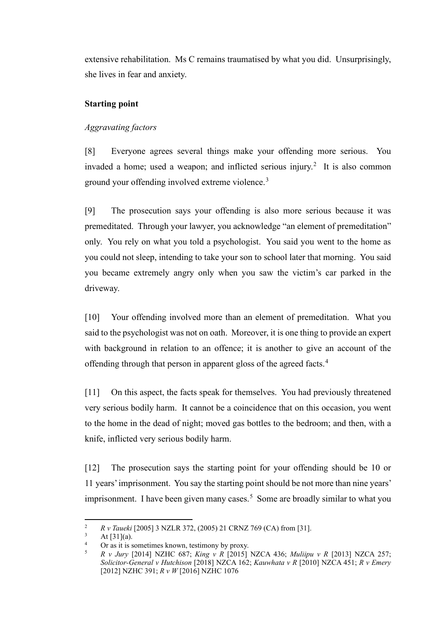extensive rehabilitation. Ms C remains traumatised by what you did. Unsurprisingly, she lives in fear and anxiety.

## **Starting point**

## *Aggravating factors*

[8] Everyone agrees several things make your offending more serious. You invaded a home; used a weapon; and inflicted serious injury.<sup>[2](#page-2-0)</sup> It is also common ground your offending involved extreme violence.[3](#page-2-1)

[9] The prosecution says your offending is also more serious because it was premeditated. Through your lawyer, you acknowledge "an element of premeditation" only. You rely on what you told a psychologist. You said you went to the home as you could not sleep, intending to take your son to school later that morning. You said you became extremely angry only when you saw the victim's car parked in the driveway.

[10] Your offending involved more than an element of premeditation. What you said to the psychologist was not on oath. Moreover, it is one thing to provide an expert with background in relation to an offence; it is another to give an account of the offending through that person in apparent gloss of the agreed facts.<sup>[4](#page-2-2)</sup>

[11] On this aspect, the facts speak for themselves. You had previously threatened very serious bodily harm. It cannot be a coincidence that on this occasion, you went to the home in the dead of night; moved gas bottles to the bedroom; and then, with a knife, inflicted very serious bodily harm.

[12] The prosecution says the starting point for your offending should be 10 or 11 years' imprisonment. You say the starting point should be not more than nine years' imprisonment. I have been given many cases.<sup>[5](#page-2-3)</sup> Some are broadly similar to what you

<span id="page-2-3"></span><span id="page-2-2"></span>

<span id="page-2-1"></span><span id="page-2-0"></span><sup>&</sup>lt;sup>2</sup> *R v Taueki* [2005] 3 NZLR 372, (2005) 21 CRNZ 769 (CA) from [31].<br>
<sup>3</sup> At [31](a).<br>
<sup>3</sup> Or as it is sometimes known, testimony by proxy.<br>
<sup>5</sup> *R v Jury* [2014] NZHC 687; *King v R* [2015] NZCA 436; *Muliipu v R* [201 *Solicitor-General v Hutchison* [2018] NZCA 162; *Kauwhata v R* [2010] NZCA 451; *R v Emery*  [2012] NZHC 391; *R v W* [2016] NZHC 1076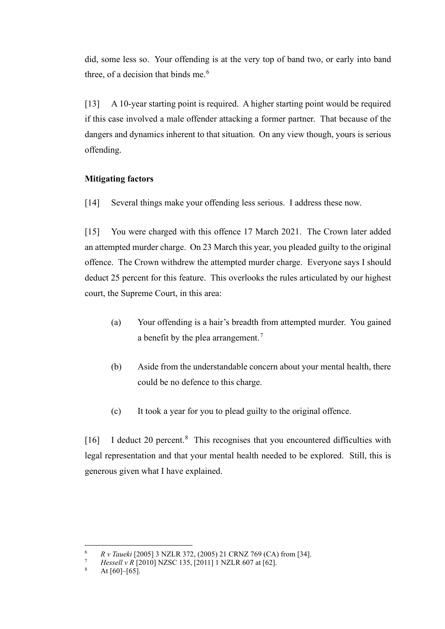did, some less so. Your offending is at the very top of band two, or early into band three, of a decision that binds me. $6$ 

[13] A 10-year starting point is required. A higher starting point would be required if this case involved a male offender attacking a former partner. That because of the dangers and dynamics inherent to that situation. On any view though, yours is serious offending.

## **Mitigating factors**

[14] Several things make your offending less serious. I address these now.

[15] You were charged with this offence 17 March 2021. The Crown later added an attempted murder charge. On 23 March this year, you pleaded guilty to the original offence. The Crown withdrew the attempted murder charge. Everyone says I should deduct 25 percent for this feature. This overlooks the rules articulated by our highest court, the Supreme Court, in this area:

- (a) Your offending is a hair's breadth from attempted murder. You gained a benefit by the plea arrangement.<sup>[7](#page-3-1)</sup>
- (b) Aside from the understandable concern about your mental health, there could be no defence to this charge.
- (c) It took a year for you to plead guilty to the original offence.

[16] I deduct 20 percent.<sup>[8](#page-3-2)</sup> This recognises that you encountered difficulties with legal representation and that your mental health needed to be explored. Still, this is generous given what I have explained.

<span id="page-3-2"></span><span id="page-3-1"></span><span id="page-3-0"></span><sup>6</sup> *R v Taueki* [2005] 3 NZLR 372, (2005) 21 CRNZ 769 (CA) from [34]. 7 *Hessell v R* [2010] NZSC 135, [2011] 1 NZLR 607 at [62]. 8 At [60]–[65].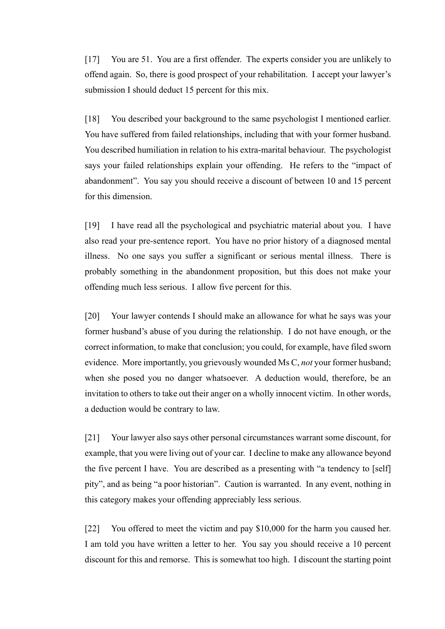[17] You are 51. You are a first offender. The experts consider you are unlikely to offend again. So, there is good prospect of your rehabilitation. I accept your lawyer's submission I should deduct 15 percent for this mix.

[18] You described your background to the same psychologist I mentioned earlier. You have suffered from failed relationships, including that with your former husband. You described humiliation in relation to his extra-marital behaviour. The psychologist says your failed relationships explain your offending. He refers to the "impact of abandonment". You say you should receive a discount of between 10 and 15 percent for this dimension.

[19] I have read all the psychological and psychiatric material about you. I have also read your pre-sentence report. You have no prior history of a diagnosed mental illness. No one says you suffer a significant or serious mental illness. There is probably something in the abandonment proposition, but this does not make your offending much less serious. I allow five percent for this.

[20] Your lawyer contends I should make an allowance for what he says was your former husband's abuse of you during the relationship. I do not have enough, or the correct information, to make that conclusion; you could, for example, have filed sworn evidence. More importantly, you grievously wounded Ms C, *not* your former husband; when she posed you no danger whatsoever. A deduction would, therefore, be an invitation to others to take out their anger on a wholly innocent victim. In other words, a deduction would be contrary to law.

[21] Your lawyer also says other personal circumstances warrant some discount, for example, that you were living out of your car. I decline to make any allowance beyond the five percent I have. You are described as a presenting with "a tendency to [self] pity", and as being "a poor historian". Caution is warranted. In any event, nothing in this category makes your offending appreciably less serious.

[22] You offered to meet the victim and pay \$10,000 for the harm you caused her. I am told you have written a letter to her. You say you should receive a 10 percent discount for this and remorse. This is somewhat too high. I discount the starting point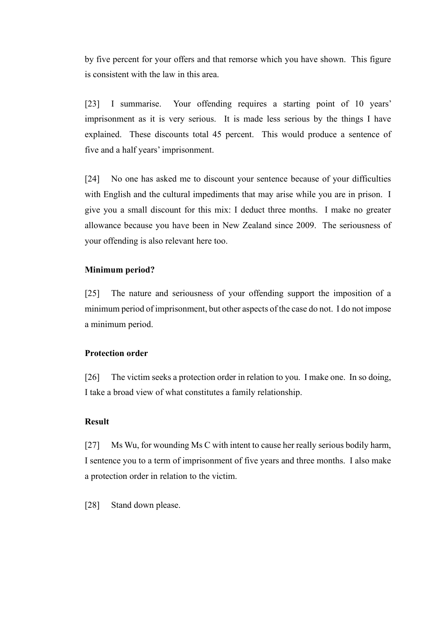by five percent for your offers and that remorse which you have shown. This figure is consistent with the law in this area.

[23] I summarise. Your offending requires a starting point of 10 years' imprisonment as it is very serious. It is made less serious by the things I have explained. These discounts total 45 percent. This would produce a sentence of five and a half years' imprisonment.

[24] No one has asked me to discount your sentence because of your difficulties with English and the cultural impediments that may arise while you are in prison. I give you a small discount for this mix: I deduct three months. I make no greater allowance because you have been in New Zealand since 2009. The seriousness of your offending is also relevant here too.

#### **Minimum period?**

[25] The nature and seriousness of your offending support the imposition of a minimum period of imprisonment, but other aspects of the case do not. I do not impose a minimum period.

#### **Protection order**

[26] The victim seeks a protection order in relation to you. I make one. In so doing, I take a broad view of what constitutes a family relationship.

### **Result**

[27] Ms Wu, for wounding Ms C with intent to cause her really serious bodily harm, I sentence you to a term of imprisonment of five years and three months. I also make a protection order in relation to the victim.

[28] Stand down please.